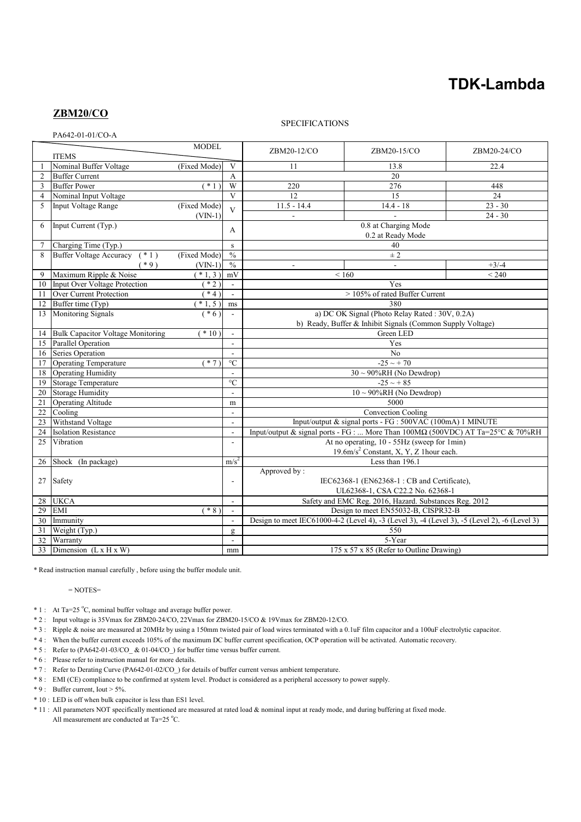# **TDK-Lambda**

## **ZBM20/CO**

## SPECIFICATIONS

PA642-01-01/CO-A

|                | <b>MODEL</b>                              |              |                         | ZBM20-12/CO                                                                                   | ZBM20-15/CO | ZBM20-24/CO |
|----------------|-------------------------------------------|--------------|-------------------------|-----------------------------------------------------------------------------------------------|-------------|-------------|
|                | <b>ITEMS</b>                              |              |                         |                                                                                               |             |             |
|                | Nominal Buffer Voltage                    | (Fixed Mode) | $\mathbf{V}$            | 11<br>22.4<br>13.8                                                                            |             |             |
| $\overline{2}$ | <b>Buffer Current</b>                     |              | A                       | 20                                                                                            |             |             |
| 3              | <b>Buffer Power</b>                       | $*1)$        | W                       | 220                                                                                           | 276         | 448         |
| $\overline{4}$ | Nominal Input Voltage                     |              | $\mathbf{V}$            | 12                                                                                            | 15          | 24          |
| 5              | <b>Input Voltage Range</b>                | (Fixed Mode) | $\overline{\mathbf{V}}$ | $11.5 - 14.4$                                                                                 | $14.4 - 18$ | $23 - 30$   |
|                |                                           | $(VIN-1)$    |                         | $\mathbf{r}$                                                                                  |             | $24 - 30$   |
| 6              | Input Current (Typ.)                      |              | А                       | 0.8 at Charging Mode<br>0.2 at Ready Mode                                                     |             |             |
|                |                                           |              |                         |                                                                                               |             |             |
|                | Charging Time (Typ.)                      |              | ${\bf S}$               | 40                                                                                            |             |             |
| 8              | <b>Buffer Voltage Accuracy</b><br>$(* 1)$ | (Fixed Mode) | $\frac{0}{0}$           | ± 2                                                                                           |             |             |
|                | $(*9)$                                    | $(VIN-1)$    | $\frac{0}{0}$           |                                                                                               |             | $+3/-4$     |
| 9              | Maximum Ripple & Noise                    | $(* 1, 3)$   | mV                      | ${}_{< 160}$<br>< 240                                                                         |             |             |
| 10             | <b>Input Over Voltage Protection</b>      | $*2)$        | $\blacksquare$          | Yes                                                                                           |             |             |
| 11             | Over Current Protection                   | $*4)$        | $\sim$                  | > 105% of rated Buffer Current                                                                |             |             |
| 12             | Buffer time (Typ)                         | $*1, 5)$     | ms                      | 380                                                                                           |             |             |
| 13             | Monitoring Signals                        | $(* 6)$      | $\sim$                  | a) DC OK Signal (Photo Relay Rated: 30V, 0.2A)                                                |             |             |
|                |                                           |              |                         | b) Ready, Buffer & Inhibit Signals (Common Supply Voltage)                                    |             |             |
| 14             | <b>Bulk Capacitor Voltage Monitoring</b>  | $(*10)$      | $\mathcal{L}$           | Green LED                                                                                     |             |             |
| 15             | <b>Parallel Operation</b>                 |              | $\blacksquare$          | Yes                                                                                           |             |             |
| 16             | Series Operation                          |              |                         | No                                                                                            |             |             |
| 17             | <b>Operating Temperature</b>              | $*7)$        | $\rm ^{\circ}C$         | $-25 \sim +70$                                                                                |             |             |
| 18             | Operating Humidity                        |              |                         | $30 \sim 90\% RH$ (No Dewdrop)                                                                |             |             |
| 19             | <b>Storage Temperature</b>                |              | $\mathrm{C}$            | $-25 - 85$                                                                                    |             |             |
| 20             | <b>Storage Humidity</b>                   |              | $\overline{a}$          | $10 \sim 90\% RH$ (No Dewdrop)                                                                |             |             |
| 21             | <b>Operating Altitude</b>                 |              | m                       | 5000                                                                                          |             |             |
| 22             | Cooling                                   |              | $\blacksquare$          | Convection Cooling                                                                            |             |             |
| 23             | Withstand Voltage                         |              | $\sim$                  | Input/output & signal ports - FG : 500VAC (100mA) 1 MINUTE                                    |             |             |
| 24             | <b>Isolation Resistance</b>               |              | $\sim$                  | Input/output & signal ports - FG :  More Than 100MΩ (500VDC) AT Ta=25°C & 70%RH               |             |             |
| 25             | Vibration                                 |              | $\overline{a}$          | At no operating, 10 - 55Hz (sweep for 1min)                                                   |             |             |
|                |                                           |              |                         | 19.6m/s <sup>2</sup> Constant, X, Y, Z 1hour each.                                            |             |             |
| 26             | Shock (In package)                        |              | m/s <sup>2</sup>        | Less than 196.1                                                                               |             |             |
|                |                                           |              |                         | Approved by:                                                                                  |             |             |
| 27             | Safety                                    |              | $\overline{a}$          | IEC62368-1 (EN62368-1: CB and Certificate),<br>UL62368-1, CSA C22.2 No. 62368-1               |             |             |
|                |                                           |              |                         |                                                                                               |             |             |
| 28             | <b>UKCA</b>                               |              | $\blacksquare$          | Safety and EMC Reg. 2016, Hazard. Substances Reg. 2012                                        |             |             |
| 29             | <b>EMI</b>                                | $*8)$        | $\sim$                  | Design to meet EN55032-B, CISPR32-B                                                           |             |             |
| 30             | Immunity                                  |              |                         | Design to meet IEC61000-4-2 (Level 4), -3 (Level 3), -4 (Level 3), -5 (Level 2), -6 (Level 3) |             |             |
| 31             | Weight (Typ.)                             |              | $\mathbf{g}$            | 550                                                                                           |             |             |
| 32             | Warranty                                  |              | $\blacksquare$          | 5-Year                                                                                        |             |             |
| 33             | Dimension $(L \times H \times W)$         |              | mm                      | 175 x 57 x 85 (Refer to Outline Drawing)                                                      |             |             |

\* Read instruction manual carefully , before using the buffer module unit.

= NOTES=

 $* 1$ : At Ta=25 °C, nominal buffer voltage and average buffer power.

\* 2 : Input voltage is 35Vmax for ZBM20-24/CO, 22Vmax for ZBM20-15/CO & 19Vmax for ZBM20-12/CO.

- \* 3 : Ripple & noise are measured at 20MHz by using a 150mm twisted pair of load wires terminated with a 0.1uF film capacitor and a 100uF electrolytic capacitor.
- \* 4 : When the buffer current exceeds 105% of the maximum DC buffer current specification, OCP operation will be activated. Automatic recovery.

\* 5 : Refer to (PA642-01-03/CO\_ & 01-04/CO\_) for buffer time versus buffer current.

\* 6 : Please refer to instruction manual for more details.

- \* 7 : Refer to Derating Curve (PA642-01-02/CO\_) for details of buffer current versus ambient temperature.
- \* 8 : EMI (CE) compliance to be confirmed at system level. Product is considered as a peripheral accessory to power supply.

\* 9 : Buffer current, Iout > 5%.

- \* 10 : LED is off when bulk capacitor is less than ES1 level.
- \* 11 : All parameters NOT specifically mentioned are measured at rated load & nominal input at ready mode, and during buffering at fixed mode. All measurement are conducted at Ta=25  $^{\circ}$ C.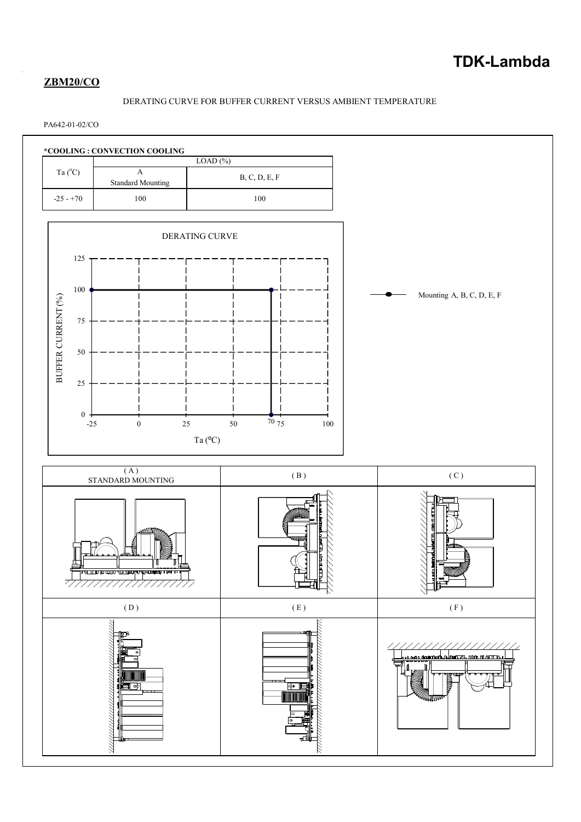# **ZBM20/CO**

## DERATING CURVE FOR BUFFER CURRENT VERSUS AMBIENT TEMPERATURE

## PA642-01-02/CO

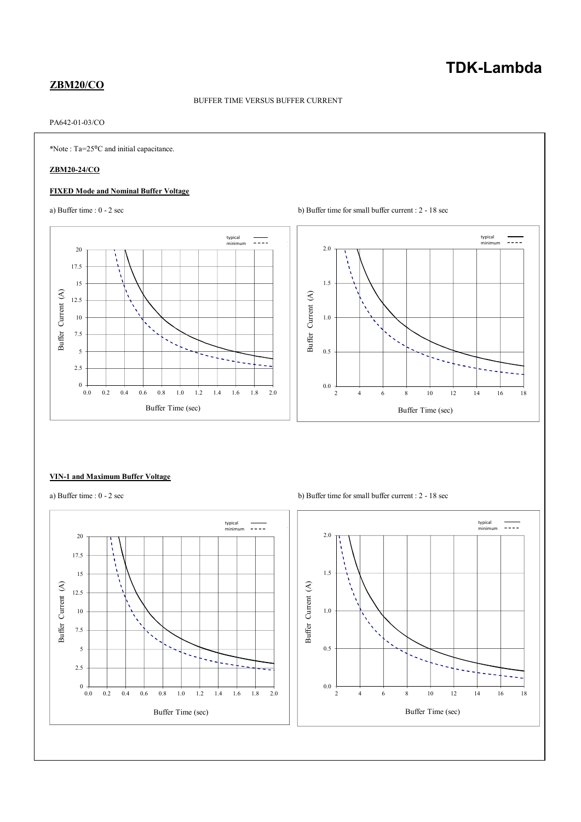# **TDK-Lambda**

## **ZBM20/CO**

#### BUFFER TIME VERSUS BUFFER CURRENT

## PA642-01-03/CO

\*Note : Ta=25⁰C and initial capacitance.

## **ZBM20-24/CO**

### **FIXED Mode and Nominal Buffer Voltage**





#### **VIN-1 and Maximum Buffer Voltage**



a) Buffer time :  $0 - 2 \sec$  b) Buffer time for small buffer current :  $2 - 18 \sec$